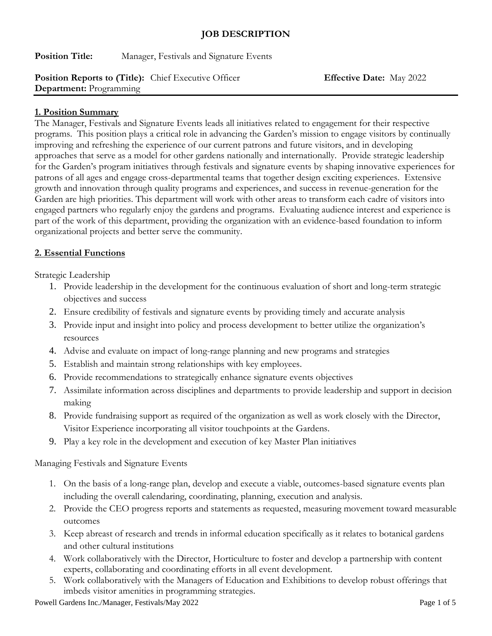## **JOB DESCRIPTION**

**Position Title:** Manager, Festivals and Signature Events

# **Position Reports to (Title):** Chief Executive Officer **Effective Date:** May 2022 **Department:** Programming

#### **1. Position Summary**

The Manager, Festivals and Signature Events leads all initiatives related to engagement for their respective programs. This position plays a critical role in advancing the Garden's mission to engage visitors by continually improving and refreshing the experience of our current patrons and future visitors, and in developing approaches that serve as a model for other gardens nationally and internationally. Provide strategic leadership for the Garden's program initiatives through festivals and signature events by shaping innovative experiences for patrons of all ages and engage cross-departmental teams that together design exciting experiences. Extensive growth and innovation through quality programs and experiences, and success in revenue-generation for the Garden are high priorities. This department will work with other areas to transform each cadre of visitors into engaged partners who regularly enjoy the gardens and programs. Evaluating audience interest and experience is part of the work of this department, providing the organization with an evidence-based foundation to inform organizational projects and better serve the community.

#### **2. Essential Functions**

Strategic Leadership

- 1. Provide leadership in the development for the continuous evaluation of short and long-term strategic objectives and success
- 2. Ensure credibility of festivals and signature events by providing timely and accurate analysis
- 3. Provide input and insight into policy and process development to better utilize the organization's resources
- 4. Advise and evaluate on impact of long-range planning and new programs and strategies
- 5. Establish and maintain strong relationships with key employees.
- 6. Provide recommendations to strategically enhance signature events objectives
- 7. Assimilate information across disciplines and departments to provide leadership and support in decision making
- 8. Provide fundraising support as required of the organization as well as work closely with the Director, Visitor Experience incorporating all visitor touchpoints at the Gardens.
- 9. Play a key role in the development and execution of key Master Plan initiatives

Managing Festivals and Signature Events

- 1. On the basis of a long-range plan, develop and execute a viable, outcomes-based signature events plan including the overall calendaring, coordinating, planning, execution and analysis.
- 2. Provide the CEO progress reports and statements as requested, measuring movement toward measurable outcomes
- 3. Keep abreast of research and trends in informal education specifically as it relates to botanical gardens and other cultural institutions
- 4. Work collaboratively with the Director, Horticulture to foster and develop a partnership with content experts, collaborating and coordinating efforts in all event development.
- 5. Work collaboratively with the Managers of Education and Exhibitions to develop robust offerings that imbeds visitor amenities in programming strategies.

Powell Gardens Inc./Manager, Festivals/May 2022 Page 1 of 5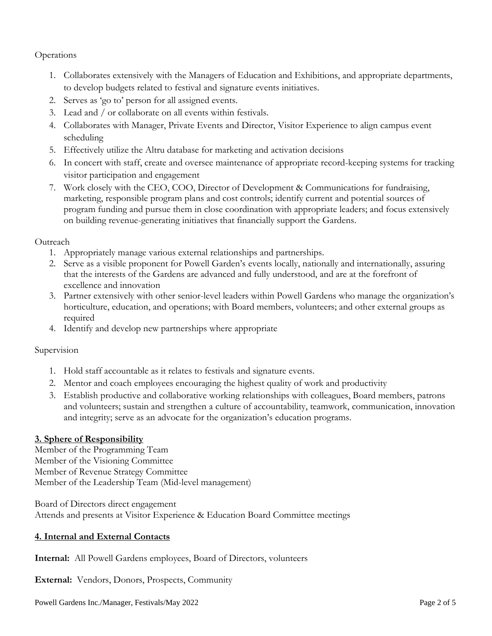**Operations** 

- 1. Collaborates extensively with the Managers of Education and Exhibitions, and appropriate departments, to develop budgets related to festival and signature events initiatives.
- 2. Serves as 'go to' person for all assigned events.
- 3. Lead and / or collaborate on all events within festivals.
- 4. Collaborates with Manager, Private Events and Director, Visitor Experience to align campus event scheduling
- 5. Effectively utilize the Altru database for marketing and activation decisions
- 6. In concert with staff, create and oversee maintenance of appropriate record-keeping systems for tracking visitor participation and engagement
- 7. Work closely with the CEO, COO, Director of Development & Communications for fundraising, marketing, responsible program plans and cost controls; identify current and potential sources of program funding and pursue them in close coordination with appropriate leaders; and focus extensively on building revenue-generating initiatives that financially support the Gardens.

## **Outreach**

- 1. Appropriately manage various external relationships and partnerships.
- 2. Serve as a visible proponent for Powell Garden's events locally, nationally and internationally, assuring that the interests of the Gardens are advanced and fully understood, and are at the forefront of excellence and innovation
- 3. Partner extensively with other senior-level leaders within Powell Gardens who manage the organization's horticulture, education, and operations; with Board members, volunteers; and other external groups as required
- 4. Identify and develop new partnerships where appropriate

#### Supervision

- 1. Hold staff accountable as it relates to festivals and signature events.
- 2. Mentor and coach employees encouraging the highest quality of work and productivity
- 3. Establish productive and collaborative working relationships with colleagues, Board members, patrons and volunteers; sustain and strengthen a culture of accountability, teamwork, communication, innovation and integrity; serve as an advocate for the organization's education programs.

# **3. Sphere of Responsibility**

Member of the Programming Team Member of the Visioning Committee Member of Revenue Strategy Committee Member of the Leadership Team (Mid-level management)

Board of Directors direct engagement Attends and presents at Visitor Experience & Education Board Committee meetings

# **4. Internal and External Contacts**

**Internal:** All Powell Gardens employees, Board of Directors, volunteers

**External:** Vendors, Donors, Prospects, Community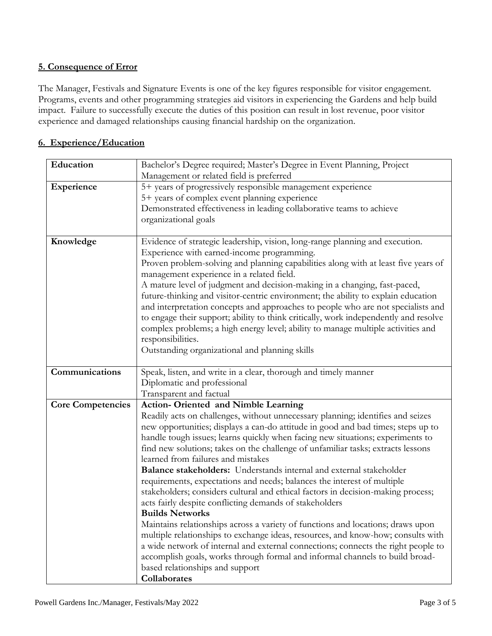# **5. Consequence of Error**

The Manager, Festivals and Signature Events is one of the key figures responsible for visitor engagement. Programs, events and other programming strategies aid visitors in experiencing the Gardens and help build impact. Failure to successfully execute the duties of this position can result in lost revenue, poor visitor experience and damaged relationships causing financial hardship on the organization.

## **6. Experience/Education**

| Education                | Bachelor's Degree required; Master's Degree in Event Planning, Project               |
|--------------------------|--------------------------------------------------------------------------------------|
|                          | Management or related field is preferred                                             |
| Experience               | 5+ years of progressively responsible management experience                          |
|                          | 5+ years of complex event planning experience                                        |
|                          | Demonstrated effectiveness in leading collaborative teams to achieve                 |
|                          | organizational goals                                                                 |
|                          |                                                                                      |
| Knowledge                | Evidence of strategic leadership, vision, long-range planning and execution.         |
|                          | Experience with earned-income programming.                                           |
|                          | Proven problem-solving and planning capabilities along with at least five years of   |
|                          | management experience in a related field.                                            |
|                          | A mature level of judgment and decision-making in a changing, fast-paced,            |
|                          | future-thinking and visitor-centric environment; the ability to explain education    |
|                          | and interpretation concepts and approaches to people who are not specialists and     |
|                          | to engage their support; ability to think critically, work independently and resolve |
|                          | complex problems; a high energy level; ability to manage multiple activities and     |
|                          | responsibilities.                                                                    |
|                          | Outstanding organizational and planning skills                                       |
|                          |                                                                                      |
| Communications           | Speak, listen, and write in a clear, thorough and timely manner                      |
|                          | Diplomatic and professional                                                          |
|                          | Transparent and factual                                                              |
| <b>Core Competencies</b> | <b>Action- Oriented and Nimble Learning</b>                                          |
|                          | Readily acts on challenges, without unnecessary planning; identifies and seizes      |
|                          | new opportunities; displays a can-do attitude in good and bad times; steps up to     |
|                          | handle tough issues; learns quickly when facing new situations; experiments to       |
|                          | find new solutions; takes on the challenge of unfamiliar tasks; extracts lessons     |
|                          | learned from failures and mistakes                                                   |
|                          | Balance stakeholders: Understands internal and external stakeholder                  |
|                          | requirements, expectations and needs; balances the interest of multiple              |
|                          | stakeholders; considers cultural and ethical factors in decision-making process;     |
|                          | acts fairly despite conflicting demands of stakeholders                              |
|                          | <b>Builds Networks</b>                                                               |
|                          | Maintains relationships across a variety of functions and locations; draws upon      |
|                          | multiple relationships to exchange ideas, resources, and know-how; consults with     |
|                          | a wide network of internal and external connections; connects the right people to    |
|                          | accomplish goals, works through formal and informal channels to build broad-         |
|                          | based relationships and support                                                      |
|                          | Collaborates                                                                         |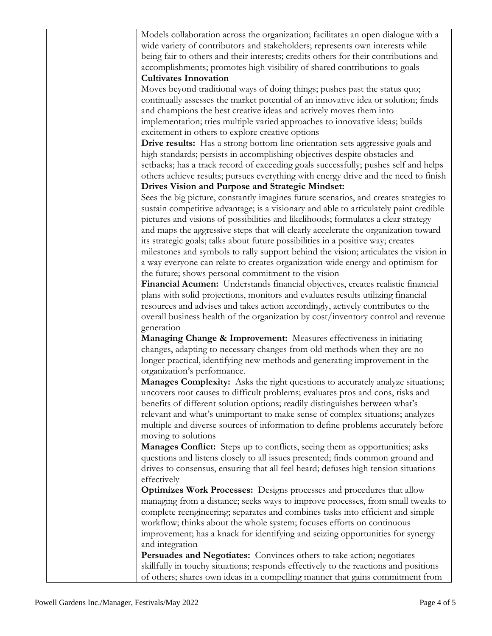| Models collaboration across the organization; facilitates an open dialogue with a     |
|---------------------------------------------------------------------------------------|
| wide variety of contributors and stakeholders; represents own interests while         |
| being fair to others and their interests; credits others for their contributions and  |
| accomplishments; promotes high visibility of shared contributions to goals            |
| <b>Cultivates Innovation</b>                                                          |
| Moves beyond traditional ways of doing things; pushes past the status quo;            |
| continually assesses the market potential of an innovative idea or solution; finds    |
|                                                                                       |
| and champions the best creative ideas and actively moves them into                    |
| implementation; tries multiple varied approaches to innovative ideas; builds          |
| excitement in others to explore creative options                                      |
| Drive results: Has a strong bottom-line orientation-sets aggressive goals and         |
| high standards; persists in accomplishing objectives despite obstacles and            |
| setbacks; has a track record of exceeding goals successfully; pushes self and helps   |
| others achieve results; pursues everything with energy drive and the need to finish   |
| Drives Vision and Purpose and Strategic Mindset:                                      |
| Sees the big picture, constantly imagines future scenarios, and creates strategies to |
| sustain competitive advantage; is a visionary and able to articulately paint credible |
| pictures and visions of possibilities and likelihoods; formulates a clear strategy    |
| and maps the aggressive steps that will clearly accelerate the organization toward    |
| its strategic goals; talks about future possibilities in a positive way; creates      |
| milestones and symbols to rally support behind the vision; articulates the vision in  |
| a way everyone can relate to creates organization-wide energy and optimism for        |
| the future; shows personal commitment to the vision                                   |
|                                                                                       |
| Financial Acumen: Understands financial objectives, creates realistic financial       |
| plans with solid projections, monitors and evaluates results utilizing financial      |
| resources and advises and takes action accordingly, actively contributes to the       |
| overall business health of the organization by cost/inventory control and revenue     |
| generation                                                                            |
| Managing Change & Improvement: Measures effectiveness in initiating                   |
| changes, adapting to necessary changes from old methods when they are no              |
| longer practical, identifying new methods and generating improvement in the           |
| organization's performance.                                                           |
| Manages Complexity: Asks the right questions to accurately analyze situations;        |
| uncovers root causes to difficult problems; evaluates pros and cons, risks and        |
| benefits of different solution options; readily distinguishes between what's          |
| relevant and what's unimportant to make sense of complex situations; analyzes         |
| multiple and diverse sources of information to define problems accurately before      |
| moving to solutions                                                                   |
| <b>Manages Conflict:</b> Steps up to conflicts, seeing them as opportunities; asks    |
| questions and listens closely to all issues presented; finds common ground and        |
| drives to consensus, ensuring that all feel heard; defuses high tension situations    |
| effectively                                                                           |
| <b>Optimizes Work Processes:</b> Designs processes and procedures that allow          |
| managing from a distance; seeks ways to improve processes, from small tweaks to       |
| complete reengineering; separates and combines tasks into efficient and simple        |
| workflow; thinks about the whole system; focuses efforts on continuous                |
| improvement; has a knack for identifying and seizing opportunities for synergy        |
| and integration                                                                       |
|                                                                                       |
| Persuades and Negotiates: Convinces others to take action; negotiates                 |
| skillfully in touchy situations; responds effectively to the reactions and positions  |
| of others; shares own ideas in a compelling manner that gains commitment from         |